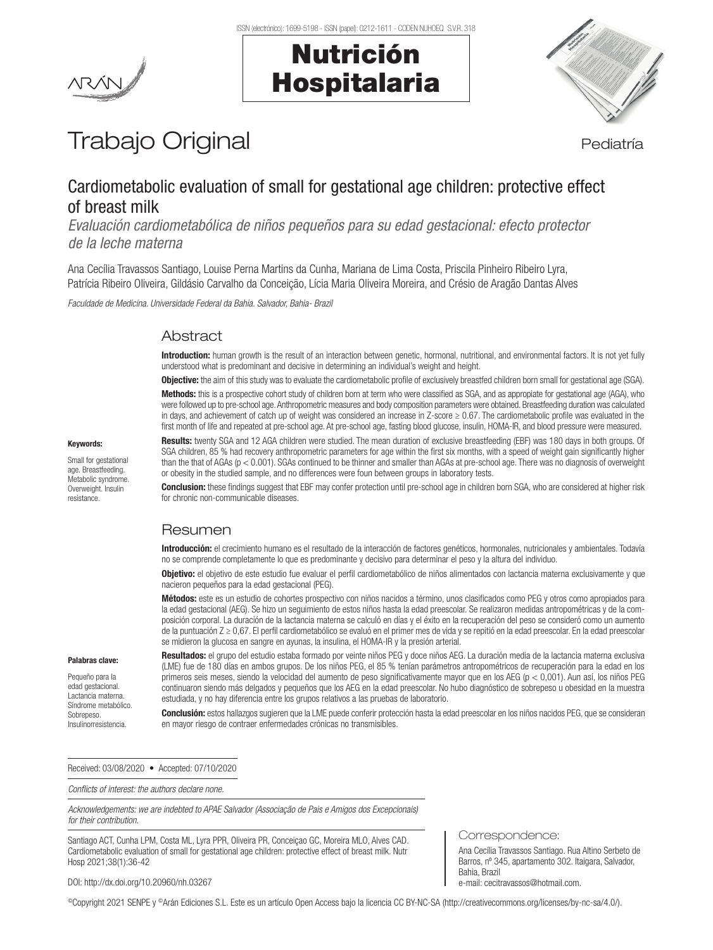Nutrición

Hospitalaria



# Trabajo Original en el estatubación de la pediatría

## Cardiometabolic evaluation of small for gestational age children: protective effect of breast milk

*Evaluación cardiometabólica de niños pequeños para su edad gestacional: efecto protector de la leche materna*

Ana Cecília Travassos Santiago, Louise Perna Martins da Cunha, Mariana de Lima Costa, Priscila Pinheiro Ribeiro Lyra, Patrícia Ribeiro Oliveira, Gildásio Carvalho da Conceição, Lícia Maria Oliveira Moreira, and Crésio de Aragão Dantas Alves

*Faculdade de Medicina. Universidade Federal da Bahia. Salvador, Bahia- Brazil* 

## Abstract

Introduction: human growth is the result of an interaction between genetic, hormonal, nutritional, and environmental factors. It is not yet fully understood what is predominant and decisive in determining an individual's weight and height.

Objective: the aim of this study was to evaluate the cardiometabolic profile of exclusively breastfed children born small for gestational age (SGA). Methods: this is a prospective cohort study of children born at term who were classified as SGA, and as appropiate for gestational age (AGA), who were followed up to pre-school age. Anthropometric measures and body composition parameters were obtained. Breastfeeding duration was calculated in days, and achievement of catch up of weight was considered an increase in Z-score ≥ 0.67. The cardiometabolic profile was evaluated in the first month of life and repeated at pre-school age. At pre-school age, fasting blood glucose, insulin, HOMA-IR, and blood pressure were measured.

#### Keywords:

Small for gestational age. Breastfeeding. Metabolic syndrome. Overweight. Insulin resistance.

Results: twenty SGA and 12 AGA children were studied. The mean duration of exclusive breastfeeding (EBF) was 180 days in both groups. Of SGA children, 85 % had recovery anthropometric parameters for age within the first six months, with a speed of weight gain significantly higher than the that of AGAs (p < 0.001). SGAs continued to be thinner and smaller than AGAs at pre-school age. There was no diagnosis of overweight or obesity in the studied sample, and no differences were foun between groups in laboratory tests.

**Conclusion:** these findings suggest that EBF may confer protection until pre-school age in children born SGA, who are considered at higher risk for chronic non-communicable diseases.

## Resumen

Introducción: el crecimiento humano es el resultado de la interacción de factores genéticos, hormonales, nutricionales y ambientales. Todavía no se comprende completamente lo que es predominante y decisivo para determinar el peso y la altura del individuo.

**Objetivo:** el objetivo de este estudio fue evaluar el perfil cardiometabólico de niños alimentados con lactancia materna exclusivamente y que nacieron pequeños para la edad gestacional (PEG).

Métodos: este es un estudio de cohortes prospectivo con niños nacidos a término, unos clasificados como PEG y otros como apropiados para la edad gestacional (AEG). Se hizo un seguimiento de estos niños hasta la edad preescolar. Se realizaron medidas antropométricas y de la composición corporal. La duración de la lactancia materna se calculó en días y el éxito en la recuperación del peso se consideró como un aumento de la puntuación Z ≥ 0,67. El perfil cardiometabólico se evaluó en el primer mes de vida y se repitió en la edad preescolar. En la edad preescolar se midieron la glucosa en sangre en ayunas, la insulina, el HOMA-IR y la presión arterial.

#### Palabras clave:

Pequeño para la edad gestacional. Lactancia materna. Síndrome metabólico. Sobrepeso. Insulinorresistencia.

Resultados: el grupo del estudio estaba formado por veinte niños PEG y doce niños AEG. La duración media de la lactancia materna exclusiva (LME) fue de 180 días en ambos grupos. De los niños PEG, el 85 % tenían parámetros antropométricos de recuperación para la edad en los primeros seis meses, siendo la velocidad del aumento de peso significativamente mayor que en los AEG (p < 0,001). Aun así, los niños PEG continuaron siendo más delgados y pequeños que los AEG en la edad preescolar. No hubo diagnóstico de sobrepeso u obesidad en la muestra estudiada, y no hay diferencia entre los grupos relativos a las pruebas de laboratorio.

Conclusión: estos hallazgos sugieren que la LME puede conferir protección hasta la edad preescolar en los niños nacidos PEG, que se consideran en mayor riesgo de contraer enfermedades crónicas no transmisibles.

Received: 03/08/2020 • Accepted: 07/10/2020

*Conflicts of interest: the authors declare none.*

*Acknowledgements: we are indebted to APAE Salvador (Associação de Pais e Amigos dos Excepcionais) for their contribution.*

Santiago ACT, Cunha LPM, Costa ML, Lyra PPR, Oliveira PR, Conceiçao GC, Moreira MLO, Alves CAD. Cardiometabolic evaluation of small for gestational age children: protective effect of breast milk. Nutr Hosp 2021;38(1):36-42

Correspondence:

Ana Cecília Travassos Santiago. Rua Altino Serbeto de Barros, nº 345, apartamento 302. Itaigara, Salvador, Bahia, Brazil e-mail: cecitravassos@hotmail.com.

DOI: http://dx.doi.org/10.20960/nh.03267

©Copyright 2021 SENPE y ©Arán Ediciones S.L. Este es un artículo Open Access bajo la licencia CC BY-NC-SA (http://creativecommons.org/licenses/by-nc-sa/4.0/).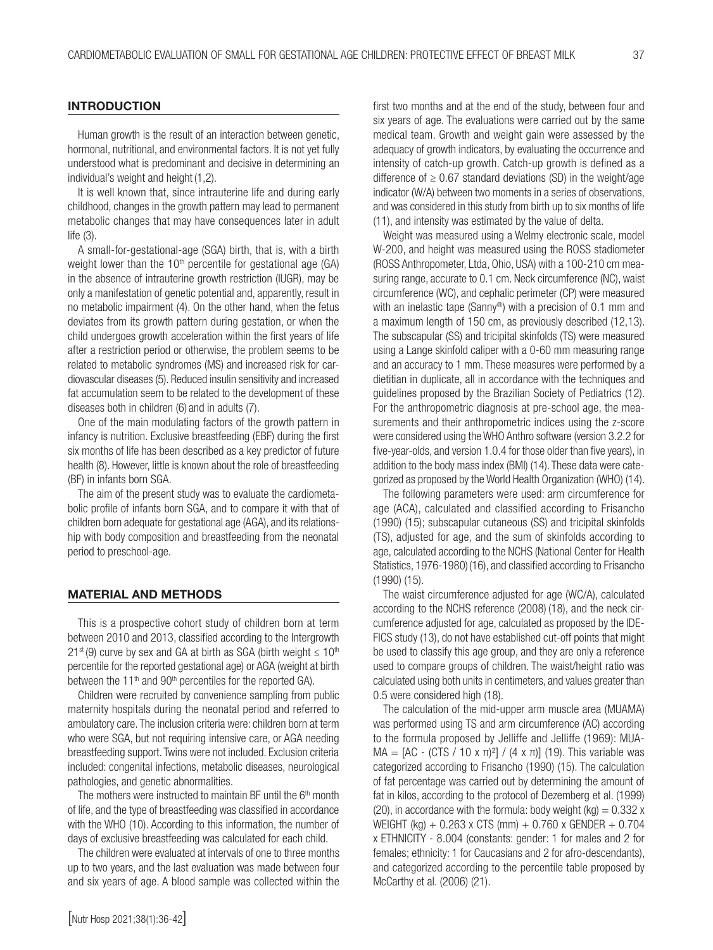#### **INTRODUCTION**

Human growth is the result of an interaction between genetic, hormonal, nutritional, and environmental factors. It is not yet fully understood what is predominant and decisive in determining an individual's weight and height (1,2).

It is well known that, since intrauterine life and during early childhood, changes in the growth pattern may lead to permanent metabolic changes that may have consequences later in adult life (3).

A small-for-gestational-age (SGA) birth, that is, with a birth weight lower than the  $10<sup>th</sup>$  percentile for gestational age (GA) in the absence of intrauterine growth restriction (IUGR), may be only a manifestation of genetic potential and, apparently, result in no metabolic impairment (4). On the other hand, when the fetus deviates from its growth pattern during gestation, or when the child undergoes growth acceleration within the first years of life after a restriction period or otherwise, the problem seems to be related to metabolic syndromes (MS) and increased risk for cardiovascular diseases (5). Reduced insulin sensitivity and increased fat accumulation seem to be related to the development of these diseases both in children (6) and in adults (7).

One of the main modulating factors of the growth pattern in infancy is nutrition. Exclusive breastfeeding (EBF) during the first six months of life has been described as a key predictor of future health (8). However, little is known about the role of breastfeeding (BF) in infants born SGA.

The aim of the present study was to evaluate the cardiometabolic profile of infants born SGA, and to compare it with that of children born adequate for gestational age (AGA), and its relationship with body composition and breastfeeding from the neonatal period to preschool-age.

#### MATERIAL AND METHODS

This is a prospective cohort study of children born at term between 2010 and 2013, classified according to the Intergrowth 21<sup>st</sup> (9) curve by sex and GA at birth as SGA (birth weight  $\leq 10^{th}$ percentile for the reported gestational age) or AGA (weight at birth between the 11<sup>th</sup> and 90<sup>th</sup> percentiles for the reported GA).

Children were recruited by convenience sampling from public maternity hospitals during the neonatal period and referred to ambulatory care. The inclusion criteria were: children born at term who were SGA, but not requiring intensive care, or AGA needing breastfeeding support. Twins were not included. Exclusion criteria included: congenital infections, metabolic diseases, neurological pathologies, and genetic abnormalities.

The mothers were instructed to maintain BF until the 6<sup>th</sup> month of life, and the type of breastfeeding was classified in accordance with the WHO (10). According to this information, the number of days of exclusive breastfeeding was calculated for each child.

The children were evaluated at intervals of one to three months up to two years, and the last evaluation was made between four and six years of age. A blood sample was collected within the first two months and at the end of the study, between four and six years of age. The evaluations were carried out by the same medical team. Growth and weight gain were assessed by the adequacy of growth indicators, by evaluating the occurrence and intensity of catch-up growth. Catch-up growth is defined as a difference of  $\geq 0.67$  standard deviations (SD) in the weight/age indicator (W/A) between two moments in a series of observations, and was considered in this study from birth up to six months of life (11), and intensity was estimated by the value of delta.

Weight was measured using a Welmy electronic scale, model W-200, and height was measured using the ROSS stadiometer (ROSS Anthropometer, Ltda, Ohio, USA) with a 100-210 cm measuring range, accurate to 0.1 cm. Neck circumference (NC), waist circumference (WC), and cephalic perimeter (CP) were measured with an inelastic tape (Sanny<sup>®</sup>) with a precision of 0.1 mm and a maximum length of 150 cm, as previously described (12,13). The subscapular (SS) and tricipital skinfolds (TS) were measured using a Lange skinfold caliper with a 0-60 mm measuring range and an accuracy to 1 mm. These measures were performed by a dietitian in duplicate, all in accordance with the techniques and guidelines proposed by the Brazilian Society of Pediatrics (12). For the anthropometric diagnosis at pre-school age, the measurements and their anthropometric indices using the z-score were considered using the WHO Anthro software (version 3.2.2 for five-year-olds, and version 1.0.4 for those older than five years), in addition to the body mass index (BMI) (14). These data were categorized as proposed by the World Health Organization (WHO) (14).

The following parameters were used: arm circumference for age (ACA), calculated and classified according to Frisancho (1990) (15); subscapular cutaneous (SS) and tricipital skinfolds (TS), adjusted for age, and the sum of skinfolds according to age, calculated according to the NCHS (National Center for Health Statistics, 1976-1980) (16), and classified according to Frisancho (1990) (15).

The waist circumference adjusted for age (WC/A), calculated according to the NCHS reference (2008) (18), and the neck circumference adjusted for age, calculated as proposed by the IDE-FICS study (13), do not have established cut-off points that might be used to classify this age group, and they are only a reference used to compare groups of children. The waist/height ratio was calculated using both units in centimeters, and values greater than 0.5 were considered high (18).

The calculation of the mid-upper arm muscle area (MUAMA) was performed using TS and arm circumference (AC) according to the formula proposed by Jelliffe and Jelliffe (1969): MUA-MA = [AC - (CTS / 10 x π)<sup>2</sup>] / (4 x π)] (19). This variable was categorized according to Frisancho (1990) (15). The calculation of fat percentage was carried out by determining the amount of fat in kilos, according to the protocol of Dezemberg et al. (1999) (20), in accordance with the formula: body weight (kg) =  $0.332$  x WEIGHT (kg) + 0.263 x CTS (mm) + 0.760 x GENDER + 0.704 x ETHNICITY - 8.004 (constants: gender: 1 for males and 2 for females; ethnicity: 1 for Caucasians and 2 for afro-descendants), and categorized according to the percentile table proposed by McCarthy et al. (2006) (21).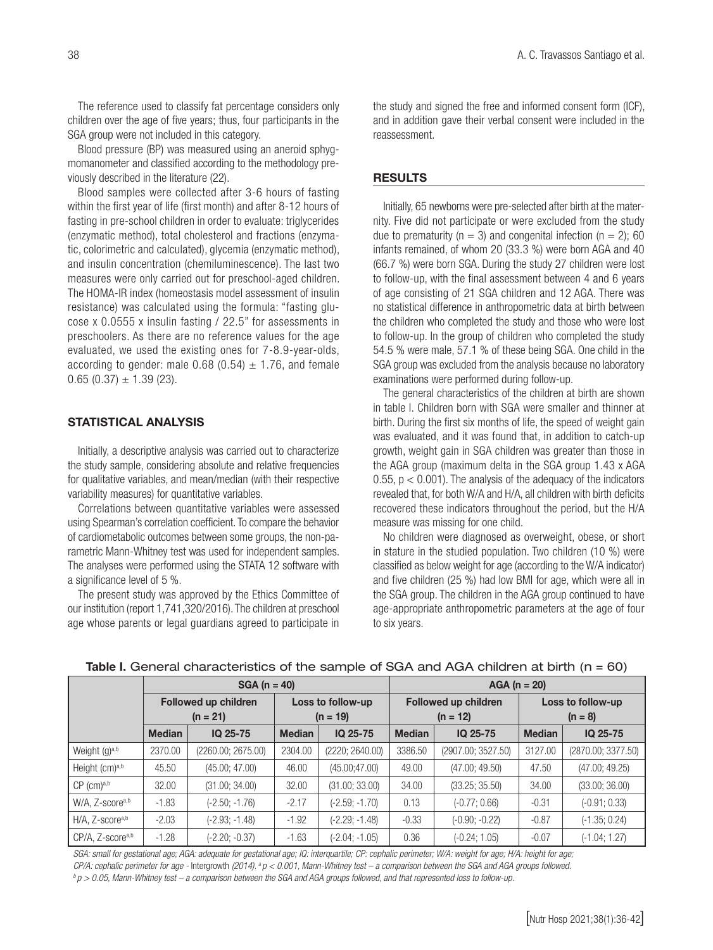The reference used to classify fat percentage considers only children over the age of five years; thus, four participants in the SGA group were not included in this category.

Blood pressure (BP) was measured using an aneroid sphygmomanometer and classified according to the methodology previously described in the literature (22).

Blood samples were collected after 3-6 hours of fasting within the first year of life (first month) and after 8-12 hours of fasting in pre-school children in order to evaluate: triglycerides (enzymatic method), total cholesterol and fractions (enzymatic, colorimetric and calculated), glycemia (enzymatic method), and insulin concentration (chemiluminescence). The last two measures were only carried out for preschool-aged children. The HOMA-IR index (homeostasis model assessment of insulin resistance) was calculated using the formula: "fasting glucose x 0.0555 x insulin fasting / 22.5" for assessments in preschoolers. As there are no reference values for the age evaluated, we used the existing ones for 7-8.9-year-olds, according to gender: male 0.68 (0.54)  $\pm$  1.76, and female  $0.65$  (0.37)  $\pm$  1.39 (23).

#### STATISTICAL ANALYSIS

Initially, a descriptive analysis was carried out to characterize the study sample, considering absolute and relative frequencies for qualitative variables, and mean/median (with their respective variability measures) for quantitative variables.

Correlations between quantitative variables were assessed using Spearman's correlation coefficient. To compare the behavior of cardiometabolic outcomes between some groups, the non-parametric Mann-Whitney test was used for independent samples. The analyses were performed using the STATA 12 software with a significance level of 5 %.

The present study was approved by the Ethics Committee of our institution (report 1,741,320/2016). The children at preschool age whose parents or legal guardians agreed to participate in

the study and signed the free and informed consent form (ICF), and in addition gave their verbal consent were included in the reassessment.

#### RESULTS

Initially, 65 newborns were pre-selected after birth at the maternity. Five did not participate or were excluded from the study due to prematurity ( $n = 3$ ) and congenital infection ( $n = 2$ ); 60 infants remained, of whom 20 (33.3 %) were born AGA and 40 (66.7 %) were born SGA. During the study 27 children were lost to follow-up, with the final assessment between 4 and 6 years of age consisting of 21 SGA children and 12 AGA. There was no statistical difference in anthropometric data at birth between the children who completed the study and those who were lost to follow-up. In the group of children who completed the study 54.5 % were male, 57.1 % of these being SGA. One child in the SGA group was excluded from the analysis because no laboratory examinations were performed during follow-up.

The general characteristics of the children at birth are shown in table I. Children born with SGA were smaller and thinner at birth. During the first six months of life, the speed of weight gain was evaluated, and it was found that, in addition to catch-up growth, weight gain in SGA children was greater than those in the AGA group (maximum delta in the SGA group 1.43 x AGA 0.55,  $p < 0.001$ ). The analysis of the adequacy of the indicators revealed that, for both W/A and H/A, all children with birth deficits recovered these indicators throughout the period, but the H/A measure was missing for one child.

No children were diagnosed as overweight, obese, or short in stature in the studied population. Two children (10 %) were classified as below weight for age (according to the W/A indicator) and five children (25 %) had low BMI for age, which were all in the SGA group. The children in the AGA group continued to have age-appropriate anthropometric parameters at the age of four to six years.

|                             | $SGA (n = 40)$                            |                    |                                 |                  | $AGA (n = 20)$                            |                    |                                |                    |  |
|-----------------------------|-------------------------------------------|--------------------|---------------------------------|------------------|-------------------------------------------|--------------------|--------------------------------|--------------------|--|
|                             | <b>Followed up children</b><br>$(n = 21)$ |                    | Loss to follow-up<br>$(n = 19)$ |                  | <b>Followed up children</b><br>$(n = 12)$ |                    | Loss to follow-up<br>$(n = 8)$ |                    |  |
|                             | <b>Median</b>                             | IQ 25-75           | <b>Median</b>                   | IQ 25-75         | <b>Median</b>                             | IQ 25-75           | <b>Median</b>                  | IQ 25-75           |  |
| Weight $(q)^{a,b}$          | 2370.00                                   | (2260.00; 2675.00) | 2304.00                         | (2220; 2640.00)  | 3386.50                                   | (2907.00; 3527.50) | 3127.00                        | (2870.00; 3377.50) |  |
| Height (cm)a,b              | 45.50                                     | (45.00; 47.00)     | 46.00                           | (45.00; 47.00)   | 49.00                                     | (47.00; 49.50)     | 47.50                          | (47.00; 49.25)     |  |
| $CP$ (cm) <sup>a,b</sup>    | 32.00                                     | (31.00; 34.00)     | 32.00                           | (31.00; 33.00)   | 34.00                                     | (33.25; 35.50)     | 34.00                          | (33.00; 36.00)     |  |
| W/A, Z-scorea,b             | $-1.83$                                   | (-2.50; -1.76)     | $-2.17$                         | (-2.59; -1.70)   | 0.13                                      | $(-0.77; 0.66)$    | $-0.31$                        | $(-0.91; 0.33)$    |  |
| H/A, Z-score <sup>a,b</sup> | $-2.03$                                   | (-2.93; -1.48)     | $-1.92$                         | (-2.29; -1.48)   | $-0.33$                                   | $(-0.90; -0.22)$   | $-0.87$                        | $(-1.35; 0.24)$    |  |
| CP/A, Z-scorea,b            | $-1.28$                                   | $(-2.20; -0.37)$   | $-1.63$                         | $(-2.04; -1.05)$ | 0.36                                      | $(-0.24; 1.05)$    | $-0.07$                        | $(-1.04; 1.27)$    |  |

#### Table I. General characteristics of the sample of SGA and AGA children at birth  $(n = 60)$

SGA: small for gestational age; AGA: adequate for gestational age; IQ: interquartile; CP: cephalic perimeter; W/A: weight for age; H/A: height for age; CP/A: cephalic perimeter for age - Intergrowth (2014).  ${}^s p < 0.001$ , Mann-Whitney test – a comparison between the SGA and AGA groups followed.<br> ${}^b p > 0.05$ , Mann-Whitney test – a comparison between the SGA and AGA groups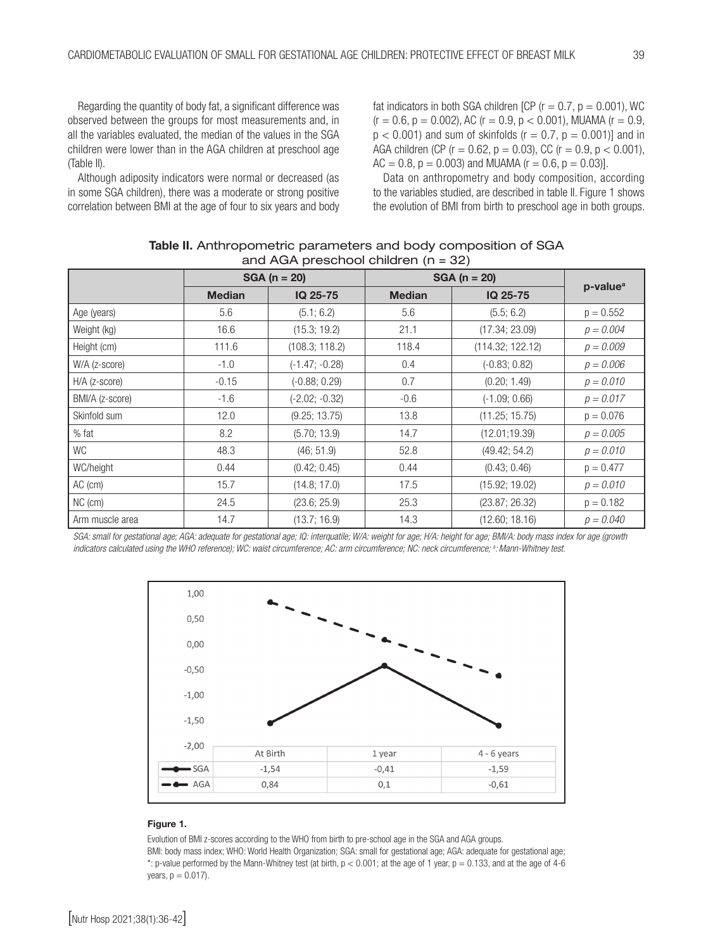Regarding the quantity of body fat, a significant difference was observed between the groups for most measurements and, in all the variables evaluated, the median of the values in the SGA children were lower than in the AGA children at preschool age (Table II).

Although adiposity indicators were normal or decreased (as in some SGA children), there was a moderate or strong positive correlation between BMI at the age of four to six years and body fat indicators in both SGA children [CP ( $r = 0.7$ ,  $p = 0.001$ ), WC  $(r = 0.6, p = 0.002)$ , AC  $(r = 0.9, p < 0.001)$ , MUAMA  $(r = 0.9, r = 0.002)$  $p < 0.001$ ) and sum of skinfolds ( $r = 0.7$ ,  $p = 0.001$ )] and in AGA children (CP ( $r = 0.62$ ,  $p = 0.03$ ), CC ( $r = 0.9$ ,  $p < 0.001$ ),  $AC = 0.8$ ,  $p = 0.003$ ) and MUAMA ( $r = 0.6$ ,  $p = 0.03$ ).

Data on anthropometry and body composition, according to the variables studied, are described in table II. Figure 1 shows the evolution of BMI from birth to preschool age in both groups.

|                 |               | $SGA (n = 20)$   | $SGA (n = 20)$ |                  |                      |  |  |  |
|-----------------|---------------|------------------|----------------|------------------|----------------------|--|--|--|
|                 | <b>Median</b> | IQ 25-75         | <b>Median</b>  | IQ 25-75         | p-value <sup>a</sup> |  |  |  |
| Age (years)     | 5.6           | (5.1; 6.2)       | 5.6            | (5.5; 6.2)       | $p = 0.552$          |  |  |  |
| Weight (kg)     | 16.6          | (15.3; 19.2)     | 21.1           | (17.34; 23.09)   | $p = 0.004$          |  |  |  |
| Height (cm)     | 111.6         | (108.3; 118.2)   | 118.4          | (114.32; 122.12) | $p = 0.009$          |  |  |  |
| W/A (z-score)   | $-1.0$        | $(-1.47; -0.28)$ | 0.4            | $(-0.83; 0.82)$  | $p = 0.006$          |  |  |  |
| $H/A$ (z-score) | $-0.15$       | $(-0.88; 0.29)$  | 0.7            | (0.20; 1.49)     | $p = 0.010$          |  |  |  |
| BMI/A (z-score) | $-1.6$        | $(-2.02; -0.32)$ | $-0.6$         | $(-1.09; 0.66)$  | $p = 0.017$          |  |  |  |
| Skinfold sum    | 12.0          | (9.25; 13.75)    | 13.8           | (11.25; 15.75)   | $p = 0.076$          |  |  |  |
| $%$ fat         | 8.2           | (5.70; 13.9)     | 14.7           | (12.01; 19.39)   | $p = 0.005$          |  |  |  |
| <b>WC</b>       | 48.3          | (46; 51.9)       | 52.8           | (49.42; 54.2)    | $p = 0.010$          |  |  |  |
| WC/height       | 0.44          | (0.42; 0.45)     | 0.44           | (0.43; 0.46)     | $p = 0.477$          |  |  |  |
| AC (cm)         | 15.7          | (14.8; 17.0)     | 17.5           | (15.92; 19.02)   | $p = 0.010$          |  |  |  |
| NC (cm)         | 24.5          | (23.6; 25.9)     | 25.3           | (23.87; 26.32)   | $p = 0.182$          |  |  |  |
| Arm muscle area | 14.7          | (13.7; 16.9)     | 14.3           | (12.60; 18.16)   | $p = 0.040$          |  |  |  |

Table II. Anthropometric parameters and body composition of SGA and  $AGA$  preschool children  $(n = 32)$ 

SGA: small for gestational age; AGA: adequate for gestational age; IQ: interquatile; W/A: weight for age; H/A: height for age; BMI/A: body mass index for age (growth *indicators calculated using the WHO reference); WC: waist circumference; AC: arm circumference; NC: neck circumference; a :Mann-Whitney test.*



#### Figure 1.

Evolution of BMI z-scores according to the WHO from birth to pre-school age in the SGA and AGA groups. BMI: body mass index; WHO: World Health Organization; SGA: small for gestational age; AGA: adequate for gestational age; \*: p-value performed by the Mann-Whitney test (at birth,  $p < 0.001$ ; at the age of 1 year,  $p = 0.133$ , and at the age of 4-6  $years, p = 0.017.$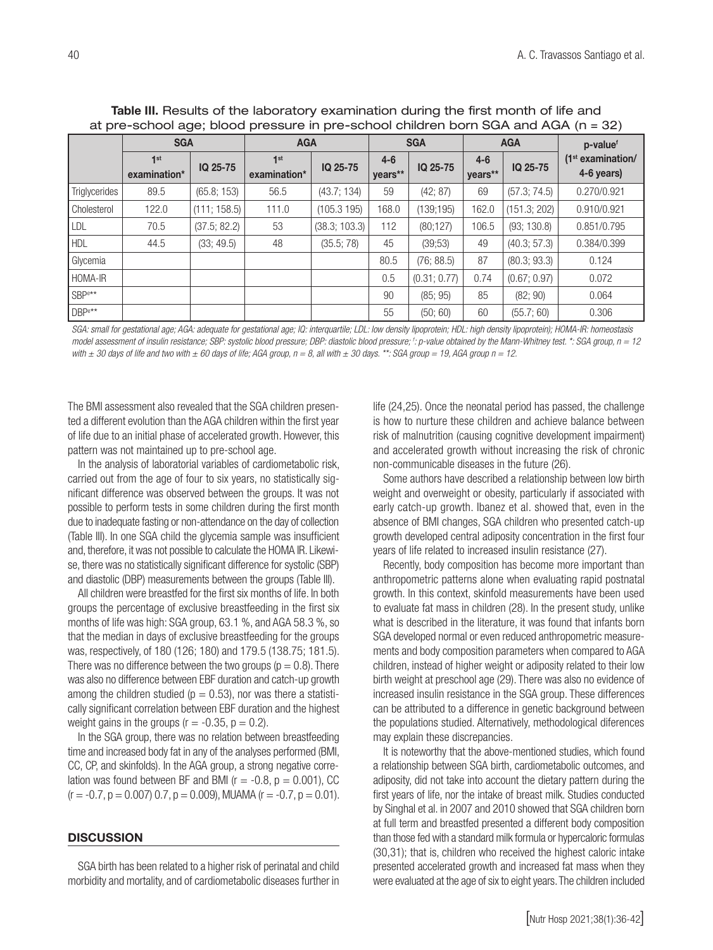|                    | <b>SGA</b>                      |              | <b>AGA</b>                      |               | <b>SGA</b>         |              | <b>AGA</b>         |              | p-valuef                                    |
|--------------------|---------------------------------|--------------|---------------------------------|---------------|--------------------|--------------|--------------------|--------------|---------------------------------------------|
|                    | 1 <sup>st</sup><br>examination* | IQ 25-75     | 1 <sup>st</sup><br>examination* | IQ 25-75      | $4 - 6$<br>years** | IQ 25-75     | $4 - 6$<br>years** | IQ 25-75     | (1 <sup>st</sup> examination/<br>4-6 years) |
| Triglycerides      | 89.5                            | (65.8; 153)  | 56.5                            | (43.7; 134)   | 59                 | (42; 87)     | 69                 | (57.3; 74.5) | 0.270/0.921                                 |
| Cholesterol        | 122.0                           | (111; 158.5) | 111.0                           | (105.3195)    | 168.0              | (139;195)    | 162.0              | (151.3; 202) | 0.910/0.921                                 |
| LDL                | 70.5                            | (37.5; 82.2) | 53                              | (38.3; 103.3) | 112                | (80;127)     | 106.5              | (93; 130.8)  | 0.851/0.795                                 |
| <b>HDL</b>         | 44.5                            | (33; 49.5)   | 48                              | (35.5; 78)    | 45                 | (39;53)      | 49                 | (40.3; 57.3) | 0.384/0.399                                 |
| Glycemia           |                                 |              |                                 |               | 80.5               | (76; 88.5)   | 87                 | (80.3; 93.3) | 0.124                                       |
| HOMA-IR            |                                 |              |                                 |               | 0.5                | (0.31; 0.77) | 0.74               | (0.67; 0.97) | 0.072                                       |
| SBP <sup>e**</sup> |                                 |              |                                 |               | 90                 | (85; 95)     | 85                 | (82; 90)     | 0.064                                       |
| DBP <sup>e**</sup> |                                 |              |                                 |               | 55                 | (50; 60)     | 60                 | (55.7; 60)   | 0.306                                       |

Table III. Results of the laboratory examination during the first month of life and at pre-school age; blood pressure in pre-school children born SGA and AGA (n = 32)

SGA: small for gestational age; AGA: adequate for gestational age; IQ: interquartile; LDL: low density lipoprotein; HDL: high density lipoprotein); HOMA-IR: homeostasis *model assessment of insulin resistance; SBP: systolic blood pressure; DBP: diastolic blood pressure; f : p-value obtained by the Mann-Whitney test. \*: SGA group, n = 12*  with  $\pm$  30 days of life and two with  $\pm$  60 days of life; AGA group,  $n = 8$ , all with  $\pm$  30 days. \*\*: SGA group = 19, AGA group  $n = 12$ .

The BMI assessment also revealed that the SGA children presented a different evolution than the AGA children within the first year of life due to an initial phase of accelerated growth. However, this pattern was not maintained up to pre-school age.

In the analysis of laboratorial variables of cardiometabolic risk, carried out from the age of four to six years, no statistically significant difference was observed between the groups. It was not possible to perform tests in some children during the first month due to inadequate fasting or non-attendance on the day of collection (Table III). In one SGA child the glycemia sample was insufficient and, therefore, it was not possible to calculate the HOMA IR. Likewise, there was no statistically significant difference for systolic (SBP) and diastolic (DBP) measurements between the groups (Table III).

All children were breastfed for the first six months of life. In both groups the percentage of exclusive breastfeeding in the first six months of life was high: SGA group, 63.1 %, and AGA 58.3 %, so that the median in days of exclusive breastfeeding for the groups was, respectively, of 180 (126; 180) and 179.5 (138.75; 181.5). There was no difference between the two groups ( $p = 0.8$ ). There was also no difference between EBF duration and catch-up growth among the children studied ( $p = 0.53$ ), nor was there a statistically significant correlation between EBF duration and the highest weight gains in the groups  $(r = -0.35, p = 0.2)$ .

In the SGA group, there was no relation between breastfeeding time and increased body fat in any of the analyses performed (BMI, CC, CP, and skinfolds). In the AGA group, a strong negative correlation was found between BF and BMI ( $r = -0.8$ ,  $p = 0.001$ ), CC  $(r = -0.7, p = 0.007, 0.7, p = 0.009)$ , MUAMA  $(r = -0.7, p = 0.01)$ .

#### **DISCUSSION**

SGA birth has been related to a higher risk of perinatal and child morbidity and mortality, and of cardiometabolic diseases further in life (24,25). Once the neonatal period has passed, the challenge is how to nurture these children and achieve balance between risk of malnutrition (causing cognitive development impairment) and accelerated growth without increasing the risk of chronic non-communicable diseases in the future (26).

Some authors have described a relationship between low birth weight and overweight or obesity, particularly if associated with early catch-up growth. Ibanez et al. showed that, even in the absence of BMI changes, SGA children who presented catch-up growth developed central adiposity concentration in the first four years of life related to increased insulin resistance (27).

Recently, body composition has become more important than anthropometric patterns alone when evaluating rapid postnatal growth. In this context, skinfold measurements have been used to evaluate fat mass in children (28). In the present study, unlike what is described in the literature, it was found that infants born SGA developed normal or even reduced anthropometric measurements and body composition parameters when compared to AGA children, instead of higher weight or adiposity related to their low birth weight at preschool age (29). There was also no evidence of increased insulin resistance in the SGA group. These differences can be attributed to a difference in genetic background between the populations studied. Alternatively, methodological diferences may explain these discrepancies.

It is noteworthy that the above-mentioned studies, which found a relationship between SGA birth, cardiometabolic outcomes, and adiposity, did not take into account the dietary pattern during the first years of life, nor the intake of breast milk. Studies conducted by Singhal et al. in 2007 and 2010 showed that SGA children born at full term and breastfed presented a different body composition than those fed with a standard milk formula or hypercaloric formulas (30,31); that is, children who received the highest caloric intake presented accelerated growth and increased fat mass when they were evaluated at the age of six to eight years. The children included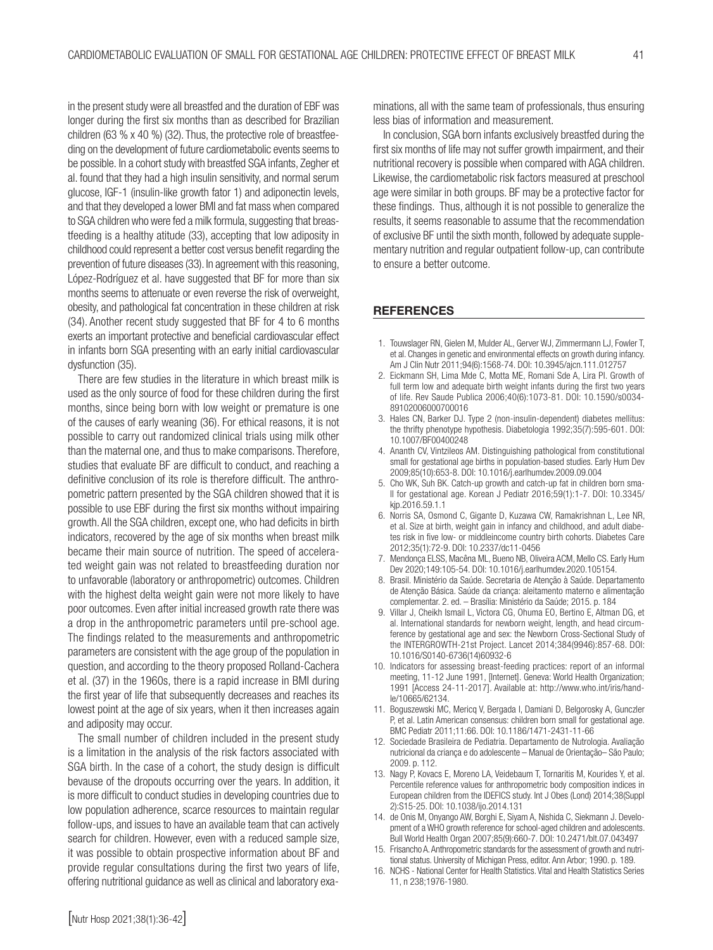in the present study were all breastfed and the duration of EBF was longer during the first six months than as described for Brazilian children (63 % x 40 %) (32). Thus, the protective role of breastfeeding on the development of future cardiometabolic events seems to be possible. In a cohort study with breastfed SGA infants, Zegher et al. found that they had a high insulin sensitivity, and normal serum glucose, IGF-1 (insulin-like growth fator 1) and adiponectin levels, and that they developed a lower BMI and fat mass when compared to SGA children who were fed a milk formula, suggesting that breastfeeding is a healthy atitude (33), accepting that low adiposity in childhood could represent a better cost versus benefit regarding the prevention of future diseases (33). In agreement with this reasoning, López-Rodríguez et al. have suggested that BF for more than six months seems to attenuate or even reverse the risk of overweight, obesity, and pathological fat concentration in these children at risk (34). Another recent study suggested that BF for 4 to 6 months exerts an important protective and beneficial cardiovascular effect in infants born SGA presenting with an early initial cardiovascular dysfunction (35).

There are few studies in the literature in which breast milk is used as the only source of food for these children during the first months, since being born with low weight or premature is one of the causes of early weaning (36). For ethical reasons, it is not possible to carry out randomized clinical trials using milk other than the maternal one, and thus to make comparisons. Therefore, studies that evaluate BF are difficult to conduct, and reaching a definitive conclusion of its role is therefore difficult. The anthropometric pattern presented by the SGA children showed that it is possible to use EBF during the first six months without impairing growth. All the SGA children, except one, who had deficits in birth indicators, recovered by the age of six months when breast milk became their main source of nutrition. The speed of accelerated weight gain was not related to breastfeeding duration nor to unfavorable (laboratory or anthropometric) outcomes. Children with the highest delta weight gain were not more likely to have poor outcomes. Even after initial increased growth rate there was a drop in the anthropometric parameters until pre-school age. The findings related to the measurements and anthropometric parameters are consistent with the age group of the population in question, and according to the theory proposed Rolland-Cachera et al. (37) in the 1960s, there is a rapid increase in BMI during the first year of life that subsequently decreases and reaches its lowest point at the age of six years, when it then increases again and adiposity may occur.

The small number of children included in the present study is a limitation in the analysis of the risk factors associated with SGA birth. In the case of a cohort, the study design is difficult bevause of the dropouts occurring over the years. In addition, it is more difficult to conduct studies in developing countries due to low population adherence, scarce resources to maintain regular follow-ups, and issues to have an available team that can actively search for children. However, even with a reduced sample size, it was possible to obtain prospective information about BF and provide regular consultations during the first two years of life, offering nutritional guidance as well as clinical and laboratory examinations, all with the same team of professionals, thus ensuring less bias of information and measurement.

In conclusion, SGA born infants exclusively breastfed during the first six months of life may not suffer growth impairment, and their nutritional recovery is possible when compared with AGA children. Likewise, the cardiometabolic risk factors measured at preschool age were similar in both groups. BF may be a protective factor for these findings. Thus, although it is not possible to generalize the results, it seems reasonable to assume that the recommendation of exclusive BF until the sixth month, followed by adequate supplementary nutrition and regular outpatient follow-up, can contribute to ensure a better outcome.

#### **REFERENCES**

- 1. Touwslager RN, Gielen M, Mulder AL, Gerver WJ, Zimmermann LJ, Fowler T, et al. Changes in genetic and environmental effects on growth during infancy. Am J Clin Nutr 2011;94(6):1568-74. DOI: 10.3945/ajcn.111.012757
- 2. Eickmann SH, Lima Mde C, Motta ME, Romani Sde A, Lira PI. Growth of full term low and adequate birth weight infants during the first two vears of life. Rev Saude Publica 2006;40(6):1073-81. DOI: 10.1590/s0034- 89102006000700016
- 3. Hales CN, Barker DJ. Type 2 (non-insulin-dependent) diabetes mellitus: the thrifty phenotype hypothesis. Diabetologia 1992;35(7):595-601. DOI: 10.1007/BF00400248
- 4. Ananth CV, Vintzileos AM. Distinguishing pathological from constitutional small for gestational age births in population-based studies. Early Hum Dev 2009;85(10):653-8. DOI: 10.1016/j.earlhumdev.2009.09.004
- 5. Cho WK, Suh BK. Catch-up growth and catch-up fat in children born small for gestational age. Korean J Pediatr 2016;59(1):1-7. DOI: 10.3345/ kjp.2016.59.1.1
- 6. Norris SA, Osmond C, Gigante D, Kuzawa CW, Ramakrishnan L, Lee NR, et al. Size at birth, weight gain in infancy and childhood, and adult diabetes risk in five low- or middleincome country birth cohorts. Diabetes Care 2012;35(1):72-9. DOI: 10.2337/dc11-0456
- 7. Mendonça ELSS, Macêna ML, Bueno NB, Oliveira ACM, Mello CS. Early Hum Dev 2020;149:105-54. DOI: 10.1016/j.earlhumdev.2020.105154.
- 8. Brasil. Ministério da Saúde. Secretaria de Atenção à Saúde. Departamento de Atenção Básica. Saúde da criança: aleitamento materno e alimentação complementar. 2. ed. – Brasília: Ministério da Saúde; 2015. p. 184
- 9. Villar J, Cheikh Ismail L, Victora CG, Ohuma EO, Bertino E, Altman DG, et al. International standards for newborn weight, length, and head circumference by gestational age and sex: the Newborn Cross-Sectional Study of the INTERGROWTH-21st Project. Lancet 2014;384(9946):857-68. DOI: 10.1016/S0140-6736(14)60932-6
- 10. Indicators for assessing breast-feeding practices: report of an informal meeting, 11-12 June 1991, [Internet]. Geneva: World Health Organization; 1991 [Access 24-11-2017]. Available at: http://www.who.int/iris/handle/10665/62134.
- 11. Boguszewski MC, Mericq V, Bergada I, Damiani D, Belgorosky A, Gunczler P, et al. Latin American consensus: children born small for gestational age. BMC Pediatr 2011;11:66. DOI: 10.1186/1471-2431-11-66
- 12. Sociedade Brasileira de Pediatria. Departamento de Nutrologia. Avaliação nutricional da criança e do adolescente – Manual de Orientação– São Paulo; 2009. p. 112.
- 13. Nagy P, Kovacs E, Moreno LA, Veidebaum T, Tornaritis M, Kourides Y, et al. Percentile reference values for anthropometric body composition indices in European children from the IDEFICS study. Int J Obes (Lond) 2014;38(Suppl 2):S15-25. DOI: 10.1038/ijo.2014.131
- 14. de Onis M, Onyango AW, Borghi E, Siyam A, Nishida C, Siekmann J. Development of a WHO growth reference for school-aged children and adolescents. Bull World Health Organ 2007;85(9):660-7. DOI: 10.2471/blt.07.043497
- 15. Frisancho A. Anthropometric standards for the assessment of growth and nutritional status. University of Michigan Press, editor. Ann Arbor; 1990. p. 189.
- 16. NCHS National Center for Health Statistics. Vital and Health Statistics Series 11, n 238;1976-1980.